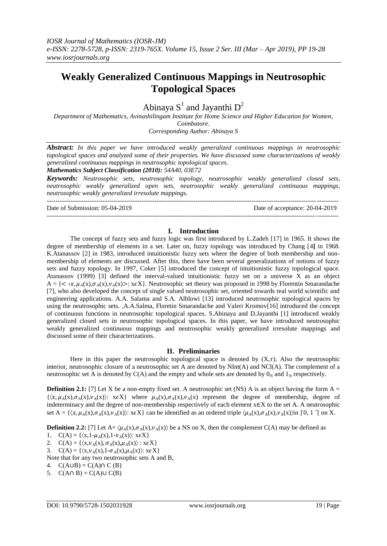# **Weakly Generalized Continuous Mappings in Neutrosophic Topological Spaces**

Abinaya  $S^1$  and Jayanthi  $D^2$ 

*Department of Mathematics, Avinashilingam Institute for Home Science and Higher Education for Women, Coimbatore. Corresponding Author: Abinaya S*

*Abstract: In this paper we have introduced weakly generalized continuous mappings in neutrosophic topological spaces and analyzed some of their properties. We have discussed some characterizations of weakly generalized continuous mappings in neutrosophic topological spaces.*

*Mathematics Subject Classification (2010): 54A40, 03E72*

*Keywords: Neutrosophic sets, neutrosophic topology, neutrosophic weakly generalized closed sets, neutrosophic weakly generalized open sets, neutrosophic weakly generalized continuous mappings, neutrosophic weakly generalized irresolute mappings.* ---------------------------------------------------------------------------------------------------------------------------------------

Date of Submission: 05-04-2019 Date of acceptance: 20-04-2019

### **I. Introduction**

---------------------------------------------------------------------------------------------------------------------------------------

The concept of fuzzy sets and fuzzy logic was first introduced by L.Zadeh [17] in 1965. It shows the degree of membership of elements in a set. Later on, fuzzy topology was introduced by Chang [4**]** in 1968. K.Atanassov [2] in 1983, introduced intuitionistic fuzzy sets where the degree of both membership and nonmembership of elements are discussed. After this, there have been several generalizations of notions of fuzzy sets and fuzzy topology. In 1997, Coker [5] introduced the concept of intuitionistic fuzzy topological space. Atanassov (1999) [3] defined the interval-valued intuitionistic fuzzy set on a universe X as an object  $A = \{ \langle \chi, \mu_A(x), \sigma_A(x), \nu_A(x) \rangle : x \in X \}.$  Neutrosophic set theory was proposed in 1998 by Florentin Smarandache [7], who also developed the concept of single valued neutrosophic set, oriented towards real world scientific and engineering applications. A.A. Salama and S.A. Alblowi [13] introduced neutrosophic topological spaces by using the neutrosophic sets. ,A.A.Salma, Floretin Smarandache and Valeri Kromov[16] introduced the concept of continuous functions in neutrosophic topological spaces. S.Abinaya and D.Jayanthi [1] introduced weakly generalized closed sets in neutrosophic topological spaces. In this paper, we have introduced neutrosophic weakly generalized continuous mappings and neutrosophic weakly generalized irresolute mappings and discussed some of their characterizations.

# **II. Preliminaries**

Here in this paper the neutrosophic topological space is denoted by  $(X,\tau)$ . Also the neutrosophic interior, neutrosophic closure of a neutrosophic set A are denoted by NInt(A) and NCl(A). The complement of a neutrosophic set A is denoted by  $C(A)$  and the empty and whole sets are denoted by  $0<sub>N</sub>$  and  $1<sub>N</sub>$  respectively.

**Definition 2.1:** [7] Let X be a non-empty fixed set. A neutrosophic set (NS) A is an object having the form  $A =$  $\{\langle x,\mu_A(x),\sigma_A(x),\nu_A(x)\rangle\colon x\in X\}$  where  $\mu_A(x),\sigma_A(x),\nu_A(x)$  represent the degree of membership, degree of indeterminacy and the degree of non-membership respectively of each element x∈X to the set A. A neutrosophic set A = { $\langle x, \mu_A(x), \sigma_A(x), \nu_A(x) \rangle$ :  $x \in X$ } can be identified as an ordered triple  $\langle \mu_A(x), \sigma_A(x), \nu_A(x) \rangle$ in ]<sup>-</sup>0, 1<sup>+</sup>[ on X.

**Definition 2.2:** [7] Let  $A = \langle \mu_A(x), \sigma_A(x), \nu_A(x) \rangle$  be a NS on X, then the complement C(A) may be defined as

- 1.  $C(A) = \{ \langle x, 1-\mu_A(x), 1-\nu_A(x) \rangle : x \in X \}$
- 2.  $C(A) = \{ \langle x, \nu_A(x), \sigma_A(x), \mu_A(x) \rangle : x \in X \}$
- 3.  $C(A) = \{ \langle x, \nu_A(x), 1 \sigma_A(x), \mu_A(x) \rangle : x \in X \}$

Note that for any two neutrosophic sets A and B,

- 4.  $C(A \cup B) = C(A) \cap C(B)$
- 5.  $C(A \cap B) = C(A) \cup C(B)$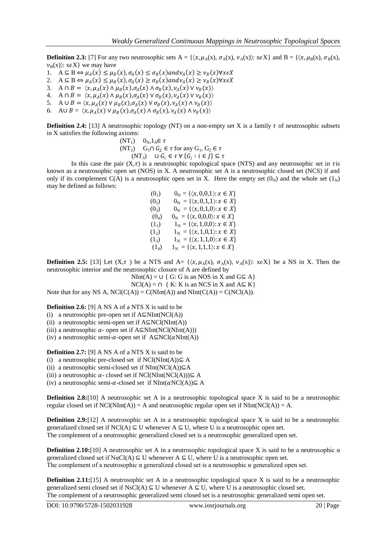**Definition 2.3:** [7] For any two neutrosophic sets A = { $\langle x, \mu_A(x), \sigma_A(x), \nu_A(x) \rangle$ :  $x \in X$ } and B = { $\langle x, \mu_B(x), \sigma_B(x), \sigma_B(x) \rangle$ }  $v_B(x)$ :  $x \in X$ } we may have

- 1.  $A \subseteq B \Leftrightarrow \mu_A(x) \leq \mu_B(x), \sigma_A(x) \leq \sigma_B(x)$  and  $\nu_A(x) \geq \nu_B(x) \forall x \in X$
- 2.  $A \subseteq B \Leftrightarrow \mu_A(x) \leq \mu_B(x), \sigma_A(x) \geq \sigma_B(x)$  and  $\nu_A(x) \geq \nu_B(x) \forall x \in X$
- 3. A  $\cap$   $B = \langle x, \mu_A(x) \land \mu_B(x), \sigma_A(x) \land \sigma_B(x), \nu_A(x) \lor \nu_B(x) \rangle$
- 4. A  $\cap$   $B = \langle x, \mu_A(x) \land \mu_B(x), \sigma_A(x) \lor \sigma_B(x), \nu_A(x) \lor \nu_B(x) \rangle$
- 5. A  $\cup$   $B = \langle x, \mu_A(x) \vee \mu_B(x), \sigma_A(x) \vee \sigma_B(x), \nu_A(x) \wedge \nu_B(x) \rangle$
- 6. AU  $B = \langle x, \mu_A(x) \vee \mu_B(x), \sigma_A(x) \wedge \sigma_B(x), \nu_A(x) \wedge \nu_B(x) \rangle$

**Definition 2.4:** [13] A neutrosophic topology (NT) on a non-empty set X is a family  $\tau$  of neutrosophic subsets in X satisfies the following axioms:

$$
\begin{array}{ll}\n\text{(NT)} & 0_N, 1_N \in \tau \\
\text{(NT)} & G_1 \cap G_2 \in \tau \text{ for any } G_1, G_2 \in \tau \\
\text{(NT)} & \cup G_i \in \tau \,\forall \{G_i : i \in J\} \subseteq \tau\n\end{array}
$$

In this case the pair  $(X,\tau)$  is a neutrosophic topological space (NTS) and any neutrosophic set in  $\tau$  is known as a neutrosophic open set (NOS) in X. A neutrosophic set A is a neutrosophic closed set (NCS) if and only if its complement C(A) is a neutrosophic open set in X. Here the empty set  $(0_N)$  and the whole set  $(1_N)$ may be defined as follows:

> $(0_1)$   $0_N = \{\langle x, 0, 0, 1 \rangle : x \in X\}$ (0<sub>2</sub>)  $0_N = \{\langle x, 0, 1, 1 \rangle : x \in X\}$ (0<sub>3</sub>)  $0_N = \{\langle x, 0,1,0\rangle : x \in X\}$  $(0_4)$   $0_N = {\{\langle x, 0,0,0 \rangle : x \in X\}}$ (1<sub>1</sub>)  $1_N = \{ \langle x, 1, 0, 0 \rangle : x \in X \}$ (1<sub>2</sub>)  $1_N = {\{\langle x, 1, 0, 1 \rangle : x \in X\}}$ (1<sub>3</sub>)  $1_N = \{ \langle x, 1,1,0 \rangle : x \in X \}$  $(1_4)$   $1_N = {\langle x, 1,1,1 \rangle : x \in X}$

**Definition 2.5:** [13] Let  $(X, \tau)$  be a NTS and A=  $\{(x, \mu_A(x), \sigma_A(x), \nu_A(x))\}$ :  $x \in X$ } be a NS in X. Then the neutrosophic interior and the neutrosophic closure of A are defined by

 $NInt(A) = \bigcup \{ G: G \text{ is an NOS in } X \text{ and } G \subseteq A \}$ 

 $NCI(A) = \bigcap \{ K: K \text{ is an NCS in } X \text{ and } A \subseteq K \}$ Note that for any NS A,  $NCl(C(A)) = C(NInt(A))$  and  $NInt(C(A)) = C(NCl(A)).$ 

**Definition 2.6:** [9] A NS A of a NTS X is said to be

- (i) a neutrosophic pre-open set if  $A\subseteq NInt(NCl(A))$
- (ii) a neutrosophic semi-open set if  $A \subseteq NCl(NInt(A))$

(iii) a neutrosophic  $\alpha$ - open set if A⊆NInt(NCl(NInt(A)))

(iv) a neutrosophic semi- $\alpha$ -open set if A⊆NCl( $\alpha$ NInt(A))

**Definition 2.7:** [9] A NS A of a NTS X is said to be

(i) a neutrosophic pre-closed set if  $NCl(NInt(A)) \subseteq A$ 

(ii) a neutrosophic semi-closed set if  $NInt(NCl(A))\subseteq A$ 

(iii) a neutrosophic  $\alpha$ - closed set if NCl(NInt(NCl(A))) $\subseteq$  A

(iv) a neutrosophic semi- $\alpha$ -closed set if NInt( $\alpha$ NCl(A))⊆ A

**Definition 2.8:**[10] A neutrosophic set A in a neutrosophic topological space X is said to be a neutrosophic regular closed set if  $NCI(NInt(A)) = A$  and neutrosophic regular open set if  $NInt(NCI(A)) = A$ .

**Definition 2.9:**[12] A neutrosophic set A in a neutrosophic topological space X is said to be a neutrosophic generalized closed set if  $NCI(A) \subseteq U$  whenever  $A \subseteq U$ , where U is a neutrosophic open set. The complement of a neutrosophic generalized closed set is a neutrosophic generalized open set.

**Definition 2.10:**[10] A neutrosophic set A in a neutrosophic topological space X is said to be a neutrosophic α generalized closed set if  $N\alpha Cl(A) \subseteq U$  whenever  $A \subseteq U$ , where U is a neutrosophic open set. The complement of a neutrosophic  $\alpha$  generalized closed set is a neutrosophic  $\alpha$  generalized open set.

**Definition 2.11:**[15] A neutrosophic set A in a neutrosophic topological space X is said to be a neutrosophic generalized semi closed set if NsCl(A)  $\subseteq$  U whenever A  $\subseteq$  U, where U is a neutrosophic closed set. The complement of a neutrosophic generalized semi closed set is a neutrosophic generalized semi open set.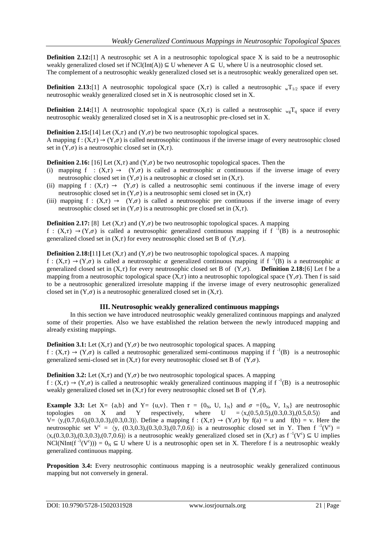**Definition 2.12:**[1] A neutrosophic set A in a neutrosophic topological space X is said to be a neutrosophic weakly generalized closed set if  $NCl(int(A)) \subseteq U$  whenever  $A \subseteq U$ , where U is a neutrosophic closed set. The complement of a neutrosophic weakly generalized closed set is a neutrosophic weakly generalized open set.

**Definition 2.13:**[1] A neutrosophic topological space  $(X,\tau)$  is called a neutrosophic  $\sqrt{x_1/2}$  space if every neutrosophic weakly generalized closed set in X is neutrosophic closed set in X.

**Definition 2.14:**[1] A neutrosophic topological space  $(X,\tau)$  is called a neutrosophic  $_{wg}T_q$  space if every neutrosophic weakly generalized closed set in X is a neutrosophic pre-closed set in X.

**Definition 2.15:**[14] Let  $(X,\tau)$  and  $(Y,\sigma)$  be two neutrosophic topological spaces.

A mapping  $f: (X,\tau) \to (Y,\sigma)$  is called neutrosophic continuous if the inverse image of every neutrosophic closed set in  $(Y,\sigma)$  is a neutrosophic closed set in  $(X,\tau)$ .

**Definition 2.16:** [16] Let  $(X,\tau)$  and  $(Y,\sigma)$  be two neutrosophic topological spaces. Then the

- (i) mapping f :  $(X,\tau) \rightarrow (Y,\sigma)$  is called a neutrosophic  $\alpha$  continuous if the inverse image of every neutrosophic closed set in  $(Y, \sigma)$  is a neutrosophic  $\alpha$  closed set in  $(X, \tau)$ .
- (ii) mapping f :  $(X,\tau) \rightarrow (Y,\sigma)$  is called a neutrosophic semi continuous if the inverse image of every neutrosophic closed set in  $(Y, \sigma)$  is a neutrosophic semi closed set in  $(X, \tau)$
- (iii) mapping  $f : (X,\tau) \to (Y,\sigma)$  is called a neutrosophic pre continuous if the inverse image of every neutrosophic closed set in  $(Y, \sigma)$  is a neutrosophic pre closed set in  $(X, \tau)$ .

**Definition 2.17:** [8] Let  $(X,\tau)$  and  $(Y,\sigma)$  be two neutrosophic topological spaces. A mapping

f :  $(X,\tau) \rightarrow (Y,\sigma)$  is called a neutrosophic generalized continuous mapping if f<sup>-1</sup>(B) is a neutrosophic generalized closed set in  $(X,\tau)$  for every neutrosophic closed set B of  $(Y,\sigma)$ .

**Definition 2.18:**[11] Let  $(X,\tau)$  and  $(Y,\sigma)$  be two neutrosophic topological spaces. A mapping

 $f: (X,\tau) \to (Y,\sigma)$  is called a neutrosophic  $\alpha$  generalized continuous mapping if  $f^{-1}(B)$  is a neutrosophic  $\alpha$ generalized closed set in  $(X,\tau)$  for every neutrosophic closed set B of  $(Y,\sigma)$ . **Definition 2.18:**[6] Let f be a mapping from a neutrosophic topological space  $(X,\tau)$  into a neutrosophic topological space  $(Y,\sigma)$ . Then f is said to be a neutrosophic generalized irresolute mapping if the inverse image of every neutrosophic generalized closed set in  $(Y,\sigma)$  is a neutrosophic generalized closed set in  $(X,\tau)$ .

### **III. Neutrosophic weakly generalized continuous mappings**

In this section we have introduced neutrosophic weakly generalized continuous mappings and analyzed some of their properties. Also we have established the relation between the newly introduced mapping and already existing mappings.

**Definition 3.1:** Let  $(X,\tau)$  and  $(Y,\sigma)$  be two neutrosophic topological spaces. A mapping  $f: (X,\tau) \to (Y,\sigma)$  is called a neutrosophic generalized semi-continuous mapping if  $f^{-1}(B)$  is a neutrosophic generalized semi-closed set in  $(X,\tau)$  for every neutrosophic closed set B of  $(Y,\sigma)$ .

**Definition 3.2:** Let  $(X,\tau)$  and  $(Y,\sigma)$  be two neutrosophic topological spaces. A mapping  $f: (X,\tau) \to (Y,\sigma)$  is called a neutrosophic weakly generalized continuous mapping if  $f^{-1}(B)$  is a neutrosophic weakly generalized closed set in  $(X,\tau)$  for every neutrosophic closed set B of  $(Y,\sigma)$ .

**Example 3.3:** Let  $X = \{a,b\}$  and  $Y = \{u,v\}$ . Then  $\tau = \{0_N, U, 1_N\}$  and  $\sigma = \{0_N, V, 1_N\}$  are neutrosophic topologies on X and Y respectively, where  $U = \langle x,(0.5,0.5),(0.3,0.3),(0.5,0.5) \rangle$  $V = \langle y,(0.7,0.6),(0.3,0.3),(0.3,0.3)\rangle$ . Define a mapping  $f : (X,\tau) \to (Y,\sigma)$  by  $f(a) = u$  and  $f(b) = v$ . Here the neutrosophic set  $V^c = \langle y, (0.3, 0.3), (0.3, 0.3), (0.7, 0.6) \rangle$  is a neutrosophic closed set in Y. Then f<sup>-1</sup>( $V^c$ ) =  $\langle x,(0.3,0.3),(0.3,0.3),(0.7,0.6)\rangle$  is a neutrosophic weakly generalized closed set in  $(X,\tau)$  as  $f^{-1}(V^c) \subseteq U$  implies NCl(NInt(f<sup>-1</sup>(V<sup>c</sup>))) =  $0_N \subseteq U$  where U is a neutrosophic open set in X. Therefore f is a neutrosophic weakly generalized continuous mapping.

**Proposition 3.4:** Every neutrosophic continuous mapping is a neutrosophic weakly generalized continuous mapping but not conversely in general.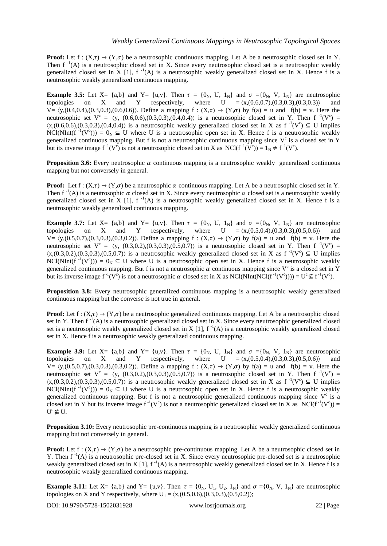**Proof:** Let  $f : (X,\tau) \to (Y,\sigma)$  be a neutrosophic continuous mapping. Let A be a neutrosophic closed set in Y. Then  $f^{-1}(A)$  is a neutrosophic closed set in X. Since every neutrosophic closed set is a neutrosophic weakly generalized closed set in X [1],  $f^{-1}(A)$  is a neutrosophic weakly generalized closed set in X. Hence f is a neutrosophic weakly generalized continuous mapping.

**Example 3.5:** Let  $X = \{a,b\}$  and  $Y = \{u,v\}$ . Then  $\tau = \{0_N, U, 1_N\}$  and  $\sigma = \{0_N, V, 1_N\}$  are neutrosophic topologies on X and Y respectively, where  $U = \langle x, (0.6, 0.7), (0.3, 0.3), (0.3, 0.3) \rangle$  and  $t = \langle x,(0.6,0.7),(0.3,0.3),(0.3,0.3)\rangle$  and  $V = \langle y,(0.4,0.4),(0.3,0.3),(0.6,0.6)\rangle$ . Define a mapping  $f : (X,\tau) \to (Y,\sigma)$  by  $f(a) = u$  and  $f(b) = v$ . Here the neutrosophic set  $V^c = \langle y, (0.6, 0.6), (0.3, 0.3), (0.4, 0.4) \rangle$  is a neutrosophic closed set in Y. Then f<sup>-1</sup>( $V^c$ ) =  $\langle x,(0.6,0.6),(0.3,0.3),(0.4,0.4)\rangle$  is a neutrosophic weakly generalized closed set in X as  $f^{-1}(V^c) \subseteq U$  implies NCl(NInt(f<sup>-1</sup>(V<sup>c</sup>))) =  $0_N \subseteq U$  where U is a neutrosophic open set in X. Hence f is a neutrosophic weakly generalized continuous mapping. But f is not a neutrosophic continuous mapping since  $V^c$  is a closed set in Y but its inverse image  $f^{-1}(V^c)$  is not a neutrosophic closed set in X as  $NCl(f^{-1}(V^c)) = 1_N \neq f^{-1}(V^c)$ .

**Proposition 3.6:** Every neutrosophic  $\alpha$  continuous mapping is a neutrosophic weakly generalized continuous mapping but not conversely in general.

**Proof:** Let f:  $(X,\tau) \to (Y,\sigma)$  be a neutrosophic  $\alpha$  continuous mapping. Let A be a neutrosophic closed set in Y. Then  $f^{-1}(A)$  is a neutrosophic  $\alpha$  closed set in X. Since every neutrosophic  $\alpha$  closed set is a neutrosophic weakly generalized closed set in X [1],  $f^{-1}(A)$  is a neutrosophic weakly generalized closed set in X. Hence f is a neutrosophic weakly generalized continuous mapping.

**Example 3.7:** Let  $X = \{a,b\}$  and  $Y = \{u,v\}$ . Then  $\tau = \{0_N, U, 1_N\}$  and  $\sigma = \{0_N, V, 1_N\}$  are neutrosophic topologies on X and Y respectively, where  $U = \langle x,(0.5,0.4),(0.3,0.3),(0.5,0.6) \rangle$  and and Y respectively, where  $U = \langle x,(0.5,0.4),(0.3,0.3),(0.5,0.6) \rangle$  $V = \langle y,(0.5,0.7),(0.3,0.3),(0.3,0.2)\rangle$ . Define a mapping  $f : (X,\tau) \to (Y,\sigma)$  by  $f(a) = u$  and  $f(b) = v$ . Here the neutrosophic set  $V^c = \langle y, (0.3, 0.2), (0.3, 0.3), (0.5, 0.7) \rangle$  is a neutrosophic closed set in Y. Then f<sup>-1</sup>( $V^c$ ) =  $\langle x,(0.3,0.2),(0.3,0.3),(0.5,0.7)\rangle$  is a neutrosophic weakly generalized closed set in X as  $f^{-1}(V^c) \subseteq U$  implies NCl(NInt(f<sup>-1</sup>(V<sup>c</sup>))) =  $0_N \subseteq U$  where U is a neutrosophic open set in X. Hence f is a neutrosophic weakly generalized continuous mapping. But f is not a neutrosophic  $\alpha$  continuous mapping since V<sup>c</sup> is a closed set in Y but its inverse image  $f^{-1}(V^c)$  is not a neutrosophic  $\alpha$  closed set in X as NCl(NInt(NCl( $f^{-1}(V^c)$ ))) =  $U^c \nsubseteq f^{-1}(V^c)$ .

**Proposition 3.8:** Every neutrosophic generalized continuous mapping is a neutrosophic weakly generalized continuous mapping but the converse is not true in general.

**Proof:** Let  $f: (X,\tau) \to (Y,\sigma)$  be a neutrosophic generalized continuous mapping. Let A be a neutrosophic closed set in Y. Then  $f^{-1}(A)$  is a neutrosophic generalized closed set in X. Since every neutrosophic generalized closed set is a neutrosophic weakly generalized closed set in X [1],  $f^{-1}(A)$  is a neutrosophic weakly generalized closed set in X. Hence f is a neutrosophic weakly generalized continuous mapping.

**Example 3.9:** Let  $X = \{a,b\}$  and  $Y = \{u,v\}$ . Then  $\tau = \{0_N, U, 1_N\}$  and  $\sigma = \{0_N, V, 1_N\}$  are neutrosophic topologies on X and Y respectively, where  $U = \langle x,(0.5,0.4),(0.3,0.3),(0.5,0.6) \rangle$  and  $V = \langle y,(0.5,0.7),(0.3,0.3),(0.3,0.2)\rangle$ . Define a mapping  $f : (X,\tau) \to (Y,\sigma)$  by  $f(a) = u$  and  $f(b) = v$ . Here the neutrosophic set  $V^c = \langle y, (0.3, 0.2), (0.3, 0.3), (0.5, 0.7) \rangle$  is a neutrosophic closed set in Y. Then f<sup>-1</sup>( $V^c$ ) =  $\langle x,(0.3,0.2),(0.3,0.3),(0.5,0.7)\rangle$  is a neutrosophic weakly generalized closed set in X as  $f^{-1}(V^c) \subseteq U$  implies NCl(NInt(f<sup>-1</sup>(V<sup>c</sup>))) =  $0_N \subseteq U$  where U is a neutrosophic open set in X. Hence f is a neutrosophic weakly generalized continuous mapping. But f is not a neutrosophic generalized continuous mapping since  $V^c$  is a closed set in Y but its inverse image  $f^{-1}(V^c)$  is not a neutrosophic generalized closed set in X as  $NCl(f^{-1}(V^c)) =$  $U^c \not\subseteq U$ .

**Proposition 3.10:** Every neutrosophic pre-continuous mapping is a neutrosophic weakly generalized continuous mapping but not conversely in general.

**Proof:** Let  $f : (X,\tau) \to (Y,\sigma)$  be a neutrosophic pre-continuous mapping. Let A be a neutrosophic closed set in Y. Then  $f^{-1}(A)$  is a neutrosophic pre-closed set in X. Since every neutrosophic pre-closed set is a neutrosophic weakly generalized closed set in X [1],  $f^{-1}(A)$  is a neutrosophic weakly generalized closed set in X. Hence f is a neutrosophic weakly generalized continuous mapping.

**Example 3.11:** Let  $X = \{a,b\}$  and  $Y = \{u,v\}$ . Then  $\tau = \{0_N, U_1, U_2, 1_N\}$  and  $\sigma = \{0_N, V, 1_N\}$  are neutrosophic topologies on X and Y respectively, where  $U_1 = \langle x,(0.5,0.6),(0.3,0.3),(0.5,0.2)\rangle$ ;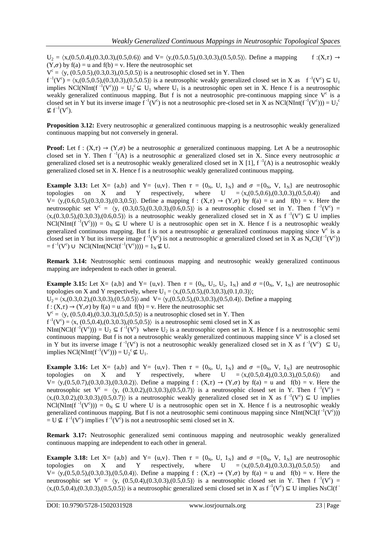$U_2 = \langle x,(0.5,0.4),(0.3,0.3),(0.5,0.6)\rangle$  and  $V = \langle y,(0.5,0.5),(0.3,0.3),(0.5,0.5)\rangle$ . Define a mapping f : $(X,\tau) \rightarrow$  $(Y,\sigma)$  by  $f(a) = u$  and  $f(b) = v$ . Here the neutrosophic set

 $V^c = \langle y, (0.5, 0.5), (0.3, 0.3), (0.5, 0.5) \rangle$  is a neutrosophic closed set in Y. Then

 $f^{-1}(V^c) = \langle x, (0.5, 0.5), (0.3, 0.3), (0.5, 0.5) \rangle$  is a neutrosophic weakly generalized closed set in X as  $f^{-1}(V^c) \subseteq U_1$ implies NCl(NInt(f<sup>-1</sup>(V<sup>c</sup>))) =  $U_2^c \subseteq U_1$  where  $U_1$  is a neutrosophic open set in X. Hence f is a neutrosophic weakly generalized continuous mapping. But f is not a neutrosophic pre-continuous mapping since  $V^c$  is a closed set in Y but its inverse image  $f^{-1}(V^c)$  is not a neutrosophic pre-closed set in X as NCl(NInt( $f^{-1}(V^c)$ )) =  $U_2^c$  $\nsubseteq$  f<sup>-1</sup>(V<sup>c</sup>).

**Proposition 3.12:** Every neutrosophic  $\alpha$  generalized continuous mapping is a neutrosophic weakly generalized continuous mapping but not conversely in general.

**Proof:** Let f:  $(X,\tau) \to (Y,\sigma)$  be a neutrosophic  $\alpha$  generalized continuous mapping. Let A be a neutrosophic closed set in Y. Then f<sup>-1</sup>(A) is a neutrosophic  $\alpha$  generalized closed set in X. Since every neutrosophic  $\alpha$ generalized closed set is a neutrosophic weakly generalized closed set in X [1],  $f^{-1}(A)$  is a neutrosophic weakly generalized closed set in X. Hence  $\vec{f}$  is a neutrosophic weakly generalized continuous mapping.

**Example 3.13:** Let  $X = \{a,b\}$  and  $Y = \{u,v\}$ . Then  $\tau = \{0_N, U, 1_N\}$  and  $\sigma = \{0_N, V, 1_N\}$  are neutrosophic topologies on X and Y respectively, where  $U = \langle x,(0.5,0.6),(0.3,0.3),(0.5,0.4) \rangle$  and  $V = \langle y,(0.6,0.5),(0.3,0.3),(0.3,0.5)\rangle$ . Define a mapping  $f : (X,\tau) \to (Y,\sigma)$  by  $f(a) = u$  and  $f(b) = v$ . Here the neutrosophic set  $V^c = \langle y, (0.3, 0.5), (0.3, 0.3), (0.6, 0.5) \rangle$  is a neutrosophic closed set in Y. Then f<sup>-1</sup>( $V^c$ ) =  $\langle x,(0.3,0.5),(0.3,0.3),(0.6,0.5)\rangle$  is a neutrosophic weakly generalized closed set in X as  $f^{-1}(V^c) \subseteq U$  implies NCl(NInt(f<sup>-1</sup>(V<sup>c</sup>))) =  $0_N \subseteq U$  where U is a neutrosophic open set in X. Hence f is a neutrosophic weakly generalized continuous mapping. But f is not a neutrosophic  $\alpha$  generalized continuous mapping since V<sup>c</sup> is a closed set in Y but its inverse image  $f^{-1}(V^c)$  is not a neutrosophic  $\alpha$  generalized closed set in X as  $N_{\alpha}Cl(f^{-1}(V^c))$  $=f^{-1}(V^c)$  U NCl(NInt(NCl( $f^{-1}(V^c)$ ))) =  $1_N \nsubseteq U$ .

**Remark 3.14:** Neutrosophic semi continuous mapping and neutrosophic weakly generalized continuous mapping are independent to each other in general.

**Example 3.15:** Let  $X = \{a,b\}$  and  $Y = \{u,v\}$ . Then  $\tau = \{0_N, U_1, U_2, 1_N\}$  and  $\sigma = \{0_N, V, 1_N\}$  are neutrosophic topologies on X and Y respectively, where  $U_1 = \langle x,(0.5,0.5),(0.3,0.3),(0.1,0.3)\rangle$ ;

 $U_2 = \langle x,(0.3,0.2),(0.3,0.3),(0.5,0.5)\rangle$  and  $V = \langle y,(0.5,0.5),(0.3,0.3),(0.5,0.4)\rangle$ . Define a mapping

 $f: (X,\tau) \to (Y,\sigma)$  by  $f(a) = u$  and  $f(b) = v$ . Here the neutrosophic set

 $V^c = \langle y, (0.5, 0.4), (0.3, 0.3), (0.5, 0.5) \rangle$  is a neutrosophic closed set in Y. Then

 $f^{-1}(V^c) = \langle x, (0.5, 0.4), (0.3, 0.3), (0.5, 0.5) \rangle$  is a neutrosophic semi closed set in X as

NInt(NCl(f<sup>-1</sup>(V<sup>c</sup>))) = U<sub>2</sub>  $\subseteq$  f<sup>-1</sup>(V<sup>c</sup>) where U<sub>2</sub> is a neutrosophic open set in X. Hence f is a neutrosophic semi continuous mapping. But f is not a neutrosophic weakly generalized continuous mapping since  $V^c$  is a closed set in Y but its inverse image  $f^{-1}(V^c)$  is not a neutrosophic weakly generalized closed set in X as  $f^{-1}(V^c) \subseteq U_1$ implies NCl(NInt( $f^{-1}(V^c)$ )) =  $U_2^c \not\subseteq U_1$ .

**Example 3.16:** Let  $X = \{a,b\}$  and  $Y = \{u,v\}$ . Then  $\tau = \{0_N, U, 1_N\}$  and  $\sigma = \{0_N, V, 1_N\}$  are neutrosophic topologies on X and Y respectively, where  $U = \langle x, (0.5, 0.4), (0.3, 0.3), (0.5, 0.6) \rangle$  and where  $U = \langle x,(0.5,0.4),(0.3,0.3),(0.5,0.6) \rangle$  and  $V = \langle y,(0.5,0.7),(0.3,0.3),(0.3,0.2)\rangle$ . Define a mapping  $f : (X,\tau) \to (Y,\sigma)$  by  $f(a) = u$  and  $f(b) = v$ . Here the neutrosophic set  $V^c = \langle y, (0.3, 0.2), (0.3, 0.3), (0.5, 0.7) \rangle$  is a neutrosophic closed set in Y. Then f<sup>-1</sup>( $V^c$ ) =  $\langle x,(0.3,0.2),(0.3,0.3),(0.5,0.7)\rangle$  is a neutrosophic weakly generalized closed set in X as  $f^{-1}(V^c) \subseteq U$  implies NCl(NInt(f<sup>-1</sup>(V<sup>c</sup>))) =  $0_N \subseteq U$  where U is a neutrosophic open set in X. Hence f is a neutrosophic weakly generalized continuous mapping. But f is not a neutrosophic semi continuous mapping since NInt $(\text{NCl}(f^{-1}(V^c)))$  $= U \nsubseteq f^{-1}(V^c)$  implies  $f^{-1}(V^c)$  is not a neutrosophic semi closed set in X.

**Remark 3.17:** Neutrosophic generalized semi continuous mapping and neutrosophic weakly generalized continuous mapping are independent to each other in general.

**Example 3.18:** Let  $X = \{a,b\}$  and  $Y = \{u,v\}$ . Then  $\tau = \{0_N, U, 1_N\}$  and  $\sigma = \{0_N, V, 1_N\}$  are neutrosophic topologies on X and Y respectively, where  $U = \langle x,(0.5,0.4),(0.3,0.3),(0.5,0.5) \rangle$  and  $V = \langle y,(0.5,0.5),(0.3,0.3),(0.5,0.4)\rangle$ . Define a mapping  $f : (X,\tau) \to (Y,\sigma)$  by  $f(a) = u$  and  $f(b) = v$ . Here the neutrosophic set  $V^c = \langle y, (0.5, 0.4), (0.3, 0.3), (0.5, 0.5) \rangle$  is a neutrosophic closed set in Y. Then f<sup>-1</sup>(V<sup>c</sup>) =  $\langle x,(0.5,0.4),(0.3,0.3),(0.5,0.5)\rangle$  is a neutrosophic generalized semi closed set in X as  $f^{-1}(V^c) \subseteq U$  implies NsCl(f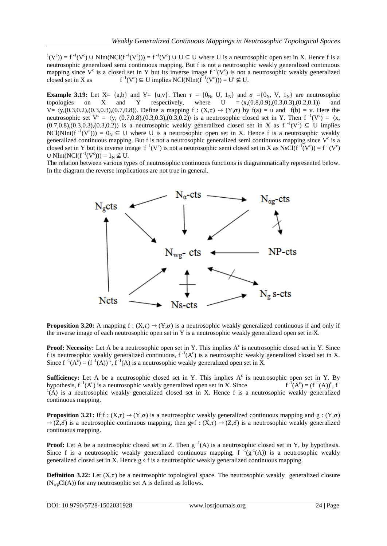$(1(V^c)) = f^{-1}(V^c)$  U NInt(NCl(f<sup>-1</sup>(V<sup>c</sup>))) = f<sup>-1</sup>(V<sup>c</sup>) U U  $\subseteq$  U where U is a neutrosophic open set in X. Hence f is a neutrosophic generalized semi continuous mapping. But f is not a neutrosophic weakly generalized continuous mapping since  $V^c$  is a closed set in Y but its inverse image  $f^{-1}(V^c)$  is not a neutrosophic weakly generalized closed set in X as  $\mathcal{C}^1(V^c) \subseteq U$  implies NCl(NInt( $f^{-1}(V^c)$ )) =  $U^c \nsubseteq U$ .

**Example 3.19:** Let  $X = \{a,b\}$  and  $Y = \{u,v\}$ . Then  $\tau = \{0_N, U, 1_N\}$  and  $\sigma = \{0_N, V, 1_N\}$  are neutrosophic topologies on X and Y respectively, where  $U = \langle x,(0.8,0.9),(0.3,0.3),(0.2,0.1)\rangle$  and topologies on X and Y respectively, where  $U = \langle x,(0.8,0.9),(0.3,0.3),(0.2,0.1)\rangle$  and  $V = \langle y,(0.3,0.2),(0.3,0.3),(0.7,0.8)\rangle$ . Define a mapping  $f : (X,\tau) \to (Y,\sigma)$  by  $f(a) = u$  and  $f(b) = v$ . Here the neutrosophic set  $V^c = \langle y, (0.7, 0.8), (0.3, 0.3), (0.3, 0.2) \rangle$  is a neutrosophic closed set in Y. Then  $f^{-1}(V^c) = \langle x, (0.7, 0.8), (0.3, 0.3), (0.3, 0.2) \rangle$  $(0.7,0.8), (0.3,0.3), (0.3,0.2)$  is a neutrosophic weakly generalized closed set in X as  $f^{-1}(V^c) \subseteq U$  implies NCl(NInt(f<sup>-1</sup>(V<sup>c</sup>))) =  $0_N \subseteq U$  where U is a neutrosophic open set in X. Hence f is a neutrosophic weakly generalized continuous mapping. But f is not a neutrosophic generalized semi continuous mapping since  $V^c$  is a closed set in Y but its inverse image  $f^{-1}(V^c)$  is not a neutrosophic semi closed set in X as NsCl( $f^{-1}(V^c)$ ) =  $f^{-1}(V^c)$  $\cup$  NInt(NCl(f<sup>-1</sup>(V<sup>c</sup>))) = 1<sub>N</sub> ⊈ U.

The relation between various types of neutrosophic continuous functions is diagrammatically represented below. In the diagram the reverse implications are not true in general.



**Proposition 3.20:** A mapping  $f : (X,\tau) \to (Y,\sigma)$  is a neutrosophic weakly generalized continuous if and only if the inverse image of each neutrosophic open set in Y is a neutrosophic weakly generalized open set in X.

**Proof: Necessity:** Let A be a neutrosophic open set in Y. This implies A<sup>c</sup> is neutrosophic closed set in Y. Since f is neutrosophic weakly generalized continuous,  $f^{-1}(A^c)$  is a neutrosophic weakly generalized closed set in X. Since  $f^{-1}(A^c) = (f^{-1}(A))^c$ ,  $f^{-1}(A)$  is a neutrosophic weakly generalized open set in X.

**Sufficiency:** Let A be a neutrosophic closed set in Y. This implies  $A<sup>c</sup>$  is neutrosophic open set in Y. By hypothesis,  $f^{-1}(A^c)$  is a neutrosophic weakly generalized open set in X. Since f  $f^{-1}(A^c) = (f^{-1}(A))^c, f^{-1}(A)$  $1(A)$  is a neutrosophic weakly generalized closed set in X. Hence f is a neutrosophic weakly generalized continuous mapping.

**Proposition 3.21:** If f :  $(X,\tau) \to (Y,\sigma)$  is a neutrosophic weakly generalized continuous mapping and g :  $(Y,\sigma)$  $\rightarrow$  (Z, $\delta$ ) is a neutrosophic continuous mapping, then g∘f : (X, $\tau$ )  $\rightarrow$  (Z, $\delta$ ) is a neutrosophic weakly generalized continuous mapping.

**Proof:** Let A be a neutrosophic closed set in Z. Then  $g^{-1}(A)$  is a neutrosophic closed set in Y, by hypothesis. Since f is a neutrosophic weakly generalized continuous mapping,  $f^{-1}(g^{-1}(A))$  is a neutrosophic weakly generalized closed set in X. Hence g ∘ f is a neutrosophic weakly generalized continuous mapping.

**Definition 3.22:** Let  $(X,\tau)$  be a neutrosophic topological space. The neutrosophic weakly generalized closure  $(N_{\rm wg}Cl(A))$  for any neutrosophic set A is defined as follows.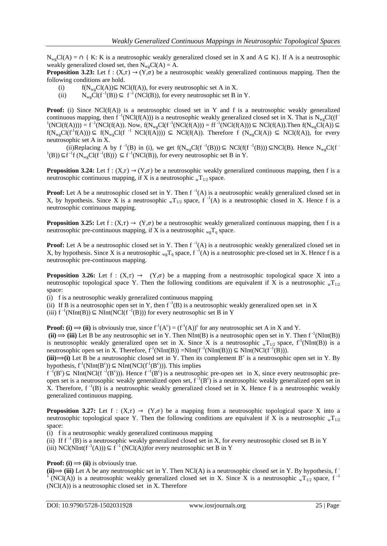$N_{\text{we}}Cl(A) = \bigcap \{ K: K \text{ is a neutrosophic weakly generalized closed set in } X \text{ and } A \subseteq K \}.$  If A is a neutrosophic weakly generalized closed set, then  $N_{\rm wg}Cl(A) = A$ .

**Proposition 3.23:** Let  $f : (X,\tau) \to (Y,\sigma)$  be a neutrosophic weakly generalized continuous mapping. Then the following conditions are hold.

- (i)  $f(N_{wg}Cl(A)) \subseteq NCl(f(A))$ , for every neutrosophic set A in X.<br>(ii)  $N_{wg}Cl(f^{-1}(B)) \subseteq f^{-1}(NCI(B))$ , for every neutrosophic set B i
- (ii)  $N_{wg}CI(f^{-1}(B)) \subseteq f^{-1}(NCI(B))$ , for every neutrosophic set B in Y.

**Proof:** (i) Since NCl(f(A)) is a neutrosophic closed set in Y and f is a neutrosophic weakly generalized continuous mapping, then  $f^{-1}(NCl(f(A)))$  is a neutrosophic weakly generalized closed set in X. That is  $N_{wg}Cl((f^{-1}Cl(f(A))))$  ${}^{1}(NCl(f(A)))) = f^{-1}(NCl(f(A)). Now, f(N_{wg}Cl(f^{-1}(NCl(f(A))) = ff^{-1}(NCl(f(A))) \subseteq NCl(f(A)). Then f(N_{wg}Cl(A)) \subseteq T_{up}Cl(f(A))$  $f(N_{wg}Cl(f^1f(A))) \subseteq f(N_{wg}Cl(f^{-1} NCl(f(A)))) \subseteq NCl(f(A))$ . Therefore f  $(N_{wg}Cl(A)) \subseteq NCl(f(A))$ , for every neutrosophic set A in X.

(ii)Replacing A by f<sup>-1</sup>(B) in (i), we get f(N<sub>wg</sub>Cl(f<sup>-1</sup>(B))) ⊆ NCl(f(f<sup>-1</sup>(B))) ⊆NCl(B). Hence N<sub>wg</sub>Cl(f<sup>-1</sup> <sup>1</sup>(B))⊆f<sup>-1</sup>f (N<sub>wg</sub>Cl(f<sup>-1</sup>(B))) ⊆ f<sup>-1</sup>(NCl(B)), for every neutrosophic set B in Y.

**Proposition 3.24:** Let  $f : (X,\tau) \to (Y,\sigma)$  be a neutrosophic weakly generalized continuous mapping, then f is a neutrosophic continuous mapping, if X is a neutrosophic  $_{\rm w}T_{1/2}$  space.

**Proof:** Let A be a neutrosophic closed set in Y. Then  $f^{-1}(A)$  is a neutrosophic weakly generalized closed set in X, by hypothesis. Since X is a neutrosophic  $_{w}T_{1/2}$  space, f<sup>-1</sup>(A) is a neutrosophic closed in X. Hence f is a neutrosophic continuous mapping.

**Proposition 3.25:** Let  $f : (X,\tau) \to (Y,\sigma)$  be a neutrosophic weakly generalized continuous mapping, then f is a neutrosophic pre-continuous mapping, if X is a neutrosophic  $_{wg}T_q$  space.

**Proof:** Let A be a neutrosophic closed set in Y. Then  $f^{-1}(A)$  is a neutrosophic weakly generalized closed set in X, by hypothesis. Since X is a neutrosophic  $_{wg}T_q$  space,  $f^{-1}(A)$  is a neutrosophic pre-closed set in X. Hence f is a neutrosophic pre-continuous mapping.

**Proposition 3.26:** Let f :  $(X,\tau) \rightarrow (Y,\sigma)$  be a mapping from a neutrosophic topological space X into a neutrosophic topological space Y. Then the following conditions are equivalent if X is a neutrosophic  $_{\rm w}T_{1/2}$ space:

(i) f is a neutrosophic weakly generalized continuous mapping

(ii) If B is a neutrosophic open set in Y, then  $f^{-1}(B)$  is a neutrosophic weakly generalized open set in X

(iii)  $f^{-1}(NInt(B)) \subseteq NInt(NCl(f^{-1}(B)))$  for every neutrosophic set B in Y

**Proof:** (i)  $\Rightarrow$  (ii) is obviously true, since  $f'(A^c) = (f'(A))^c$  for any neutrosophic set A in X and Y.

 $(iii) \implies (iii)$  Let B be any neutrosophic set in Y. Then NInt(B) is a neutrosophic open set in Y. Then  $f^{-1}(NInt(B))$ is neutrosophic weakly generalized open set in X. Since X is a neutrosophic  $_{\rm w}T_{1/2}$  space,  $f^1(\text{NInt(B)})$  is a neutrosophic open set in X. Therefore,  $f^{-1}(NInt(B)) = NInt(f^{-1}(NInt(B))) \subseteq NInt(NCl(f^{-1}(B))).$ 

 $(iii) \Rightarrow (i)$  Let B be a neutrosophic closed set in Y. Then its complement B<sup>c</sup> is a neutrosophic open set in Y. By hypothesis,  $f^1(NInt(B^c)) \subseteq NInt(NCl(f^1(B^c)))$ . This implies

 $f^{-1}(B^c) \subseteq NInt(NCl(f^{-1}(B^c)))$ . Hence  $f^{-1}(B^c)$  is a neutrosophic pre-open set in X, since every neutrosophic preopen set is a neutrosophic weakly generalized open set,  $f^{-1}(B^c)$  is a neutrosophic weakly generalized open set in X. Therefore,  $f^{-1}(B)$  is a neutrosophic weakly generalized closed set in X. Hence f is a neutrosophic weakly generalized continuous mapping.

**Proposition 3.27:** Let f :  $(X,\tau) \rightarrow (Y,\sigma)$  be a mapping from a neutrosophic topological space X into a neutrosophic topological space Y. Then the following conditions are equivalent if X is a neutrosophic  $_{\rm w}T_{1/2}$ space:

(i) f is a neutrosophic weakly generalized continuous mapping

(ii) If  $f^{-1}(B)$  is a neutrosophic weakly generalized closed set in X, for every neutrosophic closed set B in Y (iii) NCl(NInt( $f^{-1}(A)$ ))  $\subseteq f^{-1}(NCI(A))$  for every neutrosophic set B in Y

**Proof:** (i)  $\Rightarrow$  (ii) is obviously true.

 $(iii) \Rightarrow (iii)$  Let A be any neutrosophic set in Y. Then NCl(A) is a neutrosophic closed set in Y. By hypothesis, f (NCl(A)) is a neutrosophic weakly generalized closed set in X. Since X is a neutrosophic  $_{\rm w}T_{1/2}$  space, f<sup>-1</sup> (NCl(A)) is a neutrosophic closed set in X. Therefore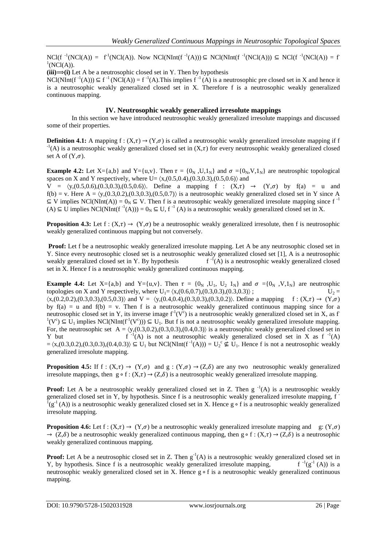$NCl(f^{-1}(NCI(A)) = f^{1}(NCI(A))$ . Now  $NCl(NInt(f^{-1}(A))) \subseteq NCl(NInt(f^{-1}(NCI(A))) \subseteq NCl(f^{-1}(NCI(A))) = f^{1}(NCI(A))$  ${}^1$ (NCl(A)).

 $(iii) \implies (i)$  Let A be a neutrosophic closed set in Y. Then by hypothesis

 $NCl(NInt(f^{-1}(A))) \subseteq f^{-1}(NCI(A)) = f^{-1}(A)$ . This implies  $f^{-1}(A)$  is a neutrosophic pre closed set in X and hence it is a neutrosophic weakly generalized closed set in X. Therefore f is a neutrosophic weakly generalized continuous mapping.

# **IV. Neutrosophic weakly generalized irresolute mappings**

In this section we have introduced neutrosophic weakly generalized irresolute mappings and discussed some of their properties.

**Definition 4.1:** A mapping  $f : (X,\tau) \to (Y,\sigma)$  is called a neutrosophic weakly generalized irresolute mapping if f  $^{-1}(A)$  is a neutrosophic weakly generalized closed set in  $(X, \tau)$  for every neutrosophic weakly generalized closed set A of  $(Y,\sigma)$ .

**Example 4.2:** Let  $X = \{a,b\}$  and  $Y = \{u,v\}$ . Then  $\tau = \{0_N, U, 1_N\}$  and  $\sigma = \{0_N, V, 1_N\}$  are neutrosphic topological spaces on X and Y respectively, where  $U = \langle x,(0.5,0.4),(0.3,0.3),(0.5,0.6)\rangle$  and

 $V = \langle y,(0.5,0.6),(0.3,0.3),(0.5,0.6)\rangle$ . Define a mapping  $f : (X,\tau) \rightarrow (Y,\sigma)$  by  $f(a) = u$  and  $f(b) = v$ . Here  $A = \langle y,(0.3,0.2),(0.3,0.3),(0.5,0.7)\rangle$  is a neutrosophic weakly generalized closed set in Y since A  $\subseteq$  V implies NCl(NInt(A)) = 0<sub>N</sub>  $\subseteq$  V. Then f is a neutrosophic weakly generalized irresolute mapping since f<sup>-1</sup>  $(A)$  ⊆ U implies NCl(NInt(f<sup>-1</sup>(A))) = 0<sub>N</sub> ⊆ U, f<sup>-1</sup> (A) is a neutrosophic weakly generalized closed set in X.

**Proposition 4.3:** Let  $f: (X,\tau) \to (Y,\sigma)$  be a neutrosophic weakly generalized irresolute, then f is neutrosophic weakly generalized continuous mapping but not conversely.

**Proof:** Let f be a neutrosophic weakly generalized irresolute mapping. Let A be any neutrosophic closed set in Y. Since every neutrosophic closed set is a neutrosophic weakly generalized closed set [1], A is a neutrosophic weakly generalized closed set in  $Y$ . By hypothesis  $f^{-1}(A)$  is a neutrosophic weakly generalized closed set in X. Hence f is a neutrosophic weakly generalized continuous mapping.

**Example 4.4:** Let  $X = \{a,b\}$  and  $Y = \{u,v\}$ . Then  $\tau = \{0_N, U_1, U_2, 1_N\}$  and  $\sigma = \{0_N, V, 1_N\}$  are neutrosphic topologies on X and Y respectively, where  $U_1 = \langle x,(0.6,0.7),(0.3,0.3),(0.3,0.3) \rangle$ ;  $U_2 =$  $\langle x,(0.2,0.2),(0.3,0.3),(0.5,0.3)\rangle$  and  $V = \langle y,(0.4,0.4),(0.3,0.3),(0.3,0.2)\rangle$ . Define a mapping f:  $(X,\tau) \rightarrow (Y,\sigma)$ by  $f(a) = u$  and  $f(b) = v$ . Then f is a neutrosophic weakly generalized continuous mapping since for a neutrosophic closed set in Y, its inverse image  $f^1(V^c)$  is a neutrosophic weakly generalized closed set in X, as f  $(1)(V^c) \subseteq U_1$  implies NCl(NInt( $f^{-1}(V^c)$ ))  $\subseteq U_1$ . But f is not a neutrosophic weakly generalized irresolute mapping. For, the neutrosophic set  $A = \langle y(0.3, 0.2), (0.3, 0.3), (0.4, 0.3) \rangle$  is a neutrosophic weakly generalized closed set in Y but  $I(A)$  is not a neutrosophic weakly generalized closed set in X as f  $I(A)$  $=\langle x,(0.3,0.2),(0.3,0.3),(0.4,0.3)\rangle \subseteq U_1$  but NCl(NInt( $f^{-1}(A)$ )) =  $U_2^c \nsubseteq U_1$ . Hence f is not a neutrosophic weakly generalized irresolute mapping.

**Proposition 4.5:** If  $f : (X,\tau) \to (Y,\sigma)$  and  $g : (Y,\sigma) \to (Z,\delta)$  are any two neutrosophic weakly generalized irresolute mappings, then g ∘ f :  $(X, \tau) \rightarrow (Z, \delta)$  is a neutrosophic weakly generalized irresolute mapping.

**Proof:** Let A be a neutrosophic weakly generalized closed set in Z. Then  $g^{-1}(A)$  is a neutrosophic weakly generalized closed set in Y, by hypothesis. Since f is a neutrosophic weakly generalized irresolute mapping, f<br> $\frac{1}{2}(x^2 + 4x)$  is a neutrosophic weakly generalized aloned set in Y. Hence g a f is a neutrosophic weakly g  $\log^{1}(g^{-1}(A))$  is a neutrosophic weakly generalized closed set in X. Hence g ∘ f is a neutrosophic weakly generalized irresolute mapping.

**Proposition 4.6:** Let  $f : (X,\tau) \to (Y,\sigma)$  be a neutrosophic weakly generalized irresolute mapping and g:  $(Y,\sigma)$  $\rightarrow$  (Z, $\delta$ ) be a neutrosophic weakly generalized continuous mapping, then g ∘ f : (X, $\tau$ )  $\rightarrow$  (Z, $\delta$ ) is a neutrosophic weakly generalized continuous mapping.

**Proof:** Let A be a neutrosophic closed set in Z. Then  $g^{-1}(A)$  is a neutrosophic weakly generalized closed set in Y, by hypothesis. Since f is a neutrosophic weakly generalized irresolute mapping,  $f^{-1}(g^{-1}(A))$  is a neutrosophic weakly generalized closed set in X. Hence g ∘ f is a neutrosophic weakly generalized continuous mapping.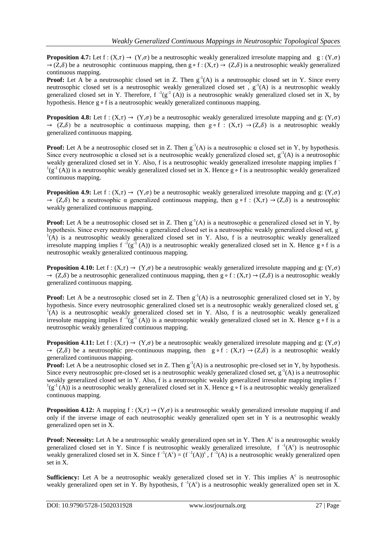**Proposition 4.7:** Let  $f : (X,\tau) \to (Y,\sigma)$  be a neutrosophic weakly generalized irresolute mapping and  $g : (Y,\sigma)$  $\rightarrow$  (Z, $\delta$ ) be a neutrosophic continuous mapping, then g ∘ f : (X, $\tau$ )  $\rightarrow$  (Z, $\delta$ ) is a neutrosophic weakly generalized continuous mapping.

**Proof:** Let A be a neutrosophic closed set in Z. Then  $g^{-1}(A)$  is a neutrosophic closed set in Y. Since every neutrosophic closed set is a neutrosophic weakly generalized closed set,  $g^{-1}(A)$  is a neutrosophic weakly generalized closed set in Y. Therefore,  $f^{-1}(g^{-1}(A))$  is a neutrosophic weakly generalized closed set in X, by hypothesis. Hence g ∘ f is a neutrosophic weakly generalized continuous mapping.

**Proposition 4.8:** Let  $f : (X,\tau) \to (Y,\sigma)$  be a neutrosophic weakly generalized irresolute mapping and g:  $(Y,\sigma)$  $\rightarrow$  (Z, $\delta$ ) be a neutrosophic  $\alpha$  continuous mapping, then g ∘ f : (X, $\tau$ )  $\rightarrow$  (Z, $\delta$ ) is a neutrosophic weakly generalized continuous mapping.

**Proof:** Let A be a neutrosophic closed set in Z. Then  $g^{-1}(A)$  is a neutrosophic  $\alpha$  closed set in Y, by hypothesis. Since every neutrosophic  $\alpha$  closed set is a neutrosophic weakly generalized closed set,  $g^{-1}(A)$  is a neutrosophic weakly generalized closed set in Y. Also, f is a neutrosophic weakly generalized irresolute mapping implies f -  $(1 - (A))$  is a neutrosophic weakly generalized closed set in X. Hence g ∘ f is a neutrosophic weakly generalized continuous mapping.

**Proposition 4.9:** Let f :  $(X,\tau) \to (Y,\sigma)$  be a neutrosophic weakly generalized irresolute mapping and g:  $(Y,\sigma)$  $\rightarrow$  (Z, $\delta$ ) be a neutrosophic  $\alpha$  generalized continuous mapping, then g ∘ f : (X, $\tau$ )  $\rightarrow$  (Z, $\delta$ ) is a neutrosophic weakly generalized continuous mapping.

**Proof:** Let A be a neutrosophic closed set in Z. Then  $g^{-1}(A)$  is a neutrosophic  $\alpha$  generalized closed set in Y, by hypothesis. Since every neutrosophic α generalized closed set is a neutrosophic weakly generalized closed set, g- $(1)$ <sup>1</sup>(A) is a neutrosophic weakly generalized closed set in Y. Also, f is a neutrosophic weakly generalized irresolute mapping implies f  $^{-1}(g^{-1}(A))$  is a neutrosophic weakly generalized closed set in X. Hence g ∘ f is a neutrosophic weakly generalized continuous mapping.

**Proposition 4.10:** Let  $f : (X,\tau) \to (Y,\sigma)$  be a neutrosophic weakly generalized irresolute mapping and g:  $(Y,\sigma)$  $\rightarrow$  (Z, $\delta$ ) be a neutrosophic generalized continuous mapping, then g ∘ f : (X, $\tau$ )  $\rightarrow$  (Z, $\delta$ ) is a neutrosophic weakly generalized continuous mapping.

**Proof:** Let A be a neutrosophic closed set in Z. Then  $g^{-1}(A)$  is a neutrosophic generalized closed set in Y, by hypothesis. Since every neutrosophic generalized closed set is a neutrosophic weakly generalized closed set, g- $(1)$  is a neutrosophic weakly generalized closed set in Y. Also, f is a neutrosophic weakly generalized irresolute mapping implies f  $^{-1}(g^{-1}(A))$  is a neutrosophic weakly generalized closed set in X. Hence g ∘ f is a neutrosophic weakly generalized continuous mapping.

**Proposition 4.11:** Let  $f : (X,\tau) \to (Y,\sigma)$  be a neutrosophic weakly generalized irresolute mapping and g:  $(Y,\sigma)$  $\rightarrow$  (Z, $\delta$ ) be a neutrosophic pre-continuous mapping, then g ∘ f : (X, $\tau$ )  $\rightarrow$  (Z, $\delta$ ) is a neutrosophic weakly generalized continuous mapping.

**Proof:** Let A be a neutrosophic closed set in Z. Then  $g^{-1}(A)$  is a neutrosophic pre-closed set in Y, by hypothesis. Since every neutrosophic pre-closed set is a neutrosophic weakly generalized closed set,  $g^{-1}(A)$  is a neutrosophic weakly generalized closed set in Y. Also, f is a neutrosophic weakly generalized irresolute mapping implies f - <sup>1</sup>(g<sup>-1</sup>(A)) is a neutrosophic weakly generalized closed set in X. Hence g ∘ f is a neutrosophic weakly generalized continuous mapping.

**Proposition 4.12:** A mapping  $f : (X,\tau) \to (Y,\sigma)$  is a neutrosophic weakly generalized irresolute mapping if and only if the inverse image of each neutrosophic weakly generalized open set in Y is a neutrosophic weakly generalized open set in X.

**Proof: Necessity:** Let A be a neutrosophic weakly generalized open set in Y. Then A<sup>c</sup> is a neutrosophic weakly generalized closed set in Y. Since f is neutrosophic weakly generalized irresolute,  $f^{-1}(A^c)$  is neutrosophic weakly generalized closed set in X. Since  $f^{-1}(A^c) = (f^{-1}(A))^c$ ,  $f^{-1}(A)$  is a neutrosophic weakly generalized open set in X.

**Sufficiency:** Let A be a neutrosophic weakly generalized closed set in Y. This implies  $A<sup>c</sup>$  is neutrosophic weakly generalized open set in Y. By hypothesis,  $f^{-1}(A^c)$  is a neutrosophic weakly generalized open set in X.